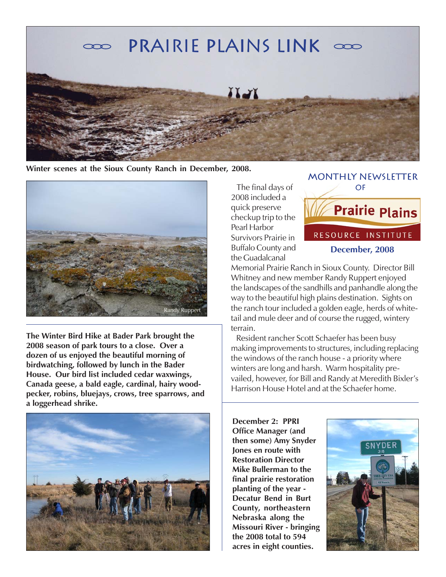

**Winter scenes at the Sioux County Ranch in December, 2008.**



**The Winter Bird Hike at Bader Park brought the 2008 season of park tours to a close. Over a dozen of us enjoyed the beautiful morning of birdwatching, followed by lunch in the Bader House. Our bird list included cedar waxwings, Canada geese, a bald eagle, cardinal, hairy woodpecker, robins, bluejays, crows, tree sparrows, and a loggerhead shrike.**



 The final days of 2008 included a quick preserve checkup trip to the Pearl Harbor Survivors Prairie in Buffalo County and the Guadalcanal



Memorial Prairie Ranch in Sioux County. Director Bill Whitney and new member Randy Ruppert enjoyed the landscapes of the sandhills and panhandle along the way to the beautiful high plains destination. Sights on the ranch tour included a golden eagle, herds of whitetail and mule deer and of course the rugged, wintery terrain.

 Resident rancher Scott Schaefer has been busy making improvements to structures, including replacing the windows of the ranch house - a priority where winters are long and harsh. Warm hospitality prevailed, however, for Bill and Randy at Meredith Bixler's Harrison House Hotel and at the Schaefer home.

**December 2: PPRI Office Manager (and then some) Amy Snyder Jones en route with Restoration Director Mike Bullerman to the final prairie restoration planting of the year - Decatur Bend in Burt County, northeastern Nebraska along the Missouri River - bringing the 2008 total to 594 acres in eight counties.**